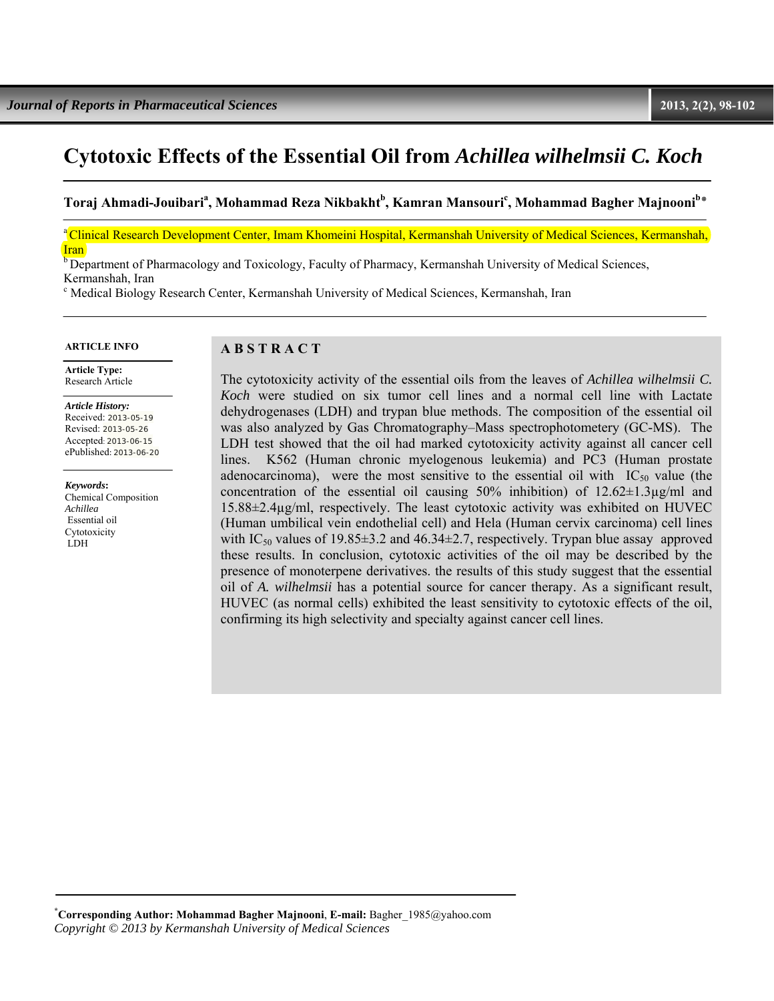# **Cytotoxic Effects of the Essential Oil from** *Achillea wilhelmsii C. Koch*

 $\boldsymbol{\Gamma}$ oraj Ahmadi-Jouibari<sup>a</sup>, Mohammad Reza Nikbakht<sup>b</sup>, Kamran Mansouri<sup>c</sup>, Mohammad Bagher Majnooni<sup>b</sup>\*

<sup>a</sup> Clinical Research Development Center, Imam Khomeini Hospital, Kermanshah University of Medical Sciences, Kermanshah, **Iran** 

<sup>b</sup> Department of Pharmacology and Toxicology, Faculty of Pharmacy, Kermanshah University of Medical Sciences, Kermanshah, Iran

c Medical Biology Research Center, Kermanshah University of Medical Sciences, Kermanshah, Iran

#### **ARTICLE INFO**

 **Article Type:**  Research Article

*Article History:*  Received: 2013-05-19 Revised: 2013-05-26 Accepted: 2013-06-15 ePublished: 2013-06-20

*Keywords***:**  Chemical Composition *Achillea*  Essential oil Cytotoxicity LDH

#### **A B S T R A C T**

The cytotoxicity activity of the essential oils from the leaves of *Achillea wilhelmsii C. Koch* were studied on six tumor cell lines and a normal cell line with Lactate dehydrogenases (LDH) and trypan blue methods. The composition of the essential oil was also analyzed by Gas Chromatography–Mass spectrophotometery (GC-MS). The LDH test showed that the oil had marked cytotoxicity activity against all cancer cell lines. K562 (Human chronic myelogenous leukemia) and PC3 (Human prostate adenocarcinoma), were the most sensitive to the essential oil with  $IC_{50}$  value (the concentration of the essential oil causing  $50\%$  inhibition) of  $12.62 \pm 1.3\,\mu$ g/ml and 15.88±2.4µg/ml, respectively. The least cytotoxic activity was exhibited on HUVEC (Human umbilical vein endothelial cell) and Hela (Human cervix carcinoma) cell lines with IC<sub>50</sub> values of 19.85 $\pm$ 3.2 and 46.34 $\pm$ 2.7, respectively. Trypan blue assay approved these results. In conclusion, cytotoxic activities of the oil may be described by the presence of monoterpene derivatives. the results of this study suggest that the essential oil of *A. wilhelmsii* has a potential source for cancer therapy. As a significant result, HUVEC (as normal cells) exhibited the least sensitivity to cytotoxic effects of the oil, confirming its high selectivity and specialty against cancer cell lines.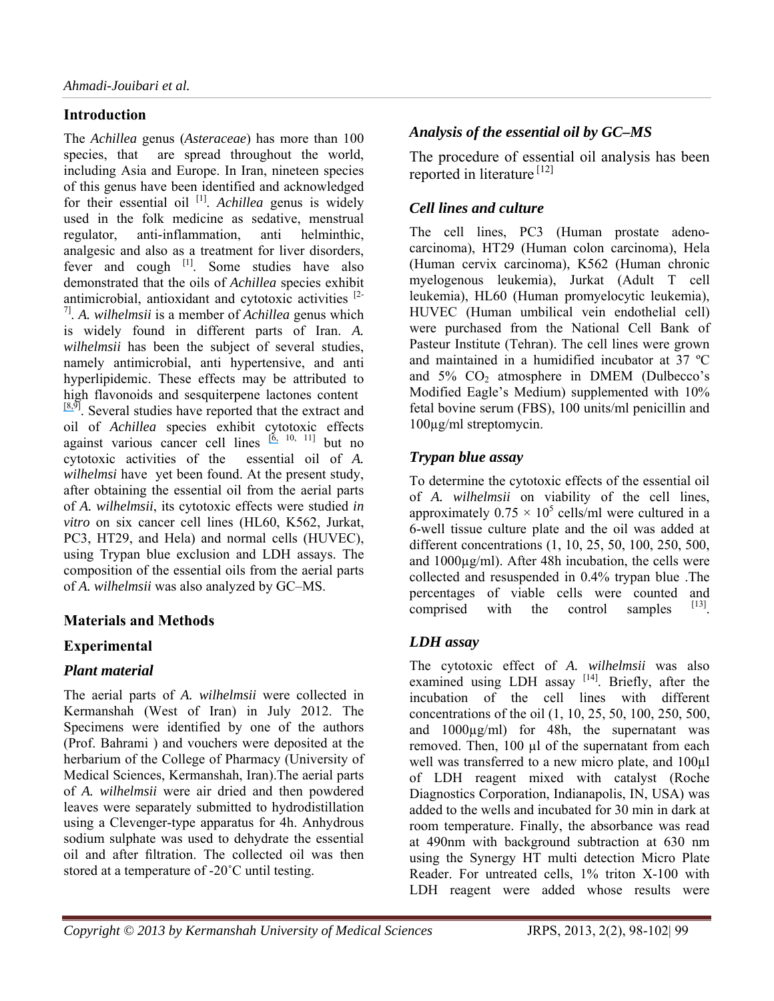# **Introduction**

The *Achillea* genus (*Asteraceae*) has more than 100 species, that are spread throughout the world, including Asia and Europe. In Iran, nineteen species of this genus have been identified and acknowledged for their essential oil<sup>[1]</sup>. *Achillea* genus is widely used in the folk medicine as sedative, menstrual regulator, anti-inflammation, anti helminthic, analgesic and also as a treatment for liver disorders, fever and cough <sup>[1]</sup>. Some studies have also demonstrated that the oils of *Achillea* species exhibit antimicrobial, antioxidant and cytotoxic activities <sup>[2-1</sup>] 7]. *A. wilhelmsii* is a member of *Achillea* genus which is widely found in different parts of Iran. *A. wilhelmsii* has been the subject of several studies, namely antimicrobial, anti hypertensive, and anti hyperlipidemic. These effects may be attributed to high flavonoids and sesquiterpene lactones content  $[8,9]$  $[8,9]$ . Several studies have reported that the extract and oil of *Achillea* species exhibit cytotoxic effects against various cancer cell lines  $[6, 10, 11]$  $[6, 10, 11]$  but no cytotoxic activities of the essential oil of *A. wilhelmsi* have yet been found. At the present study, after obtaining the essential oil from the aerial parts of *A. wilhelmsii*, its cytotoxic effects were studied *in vitro* on six cancer cell lines (HL60, K562, Jurkat, PC3, HT29, and Hela) and normal cells (HUVEC), using Trypan blue exclusion and LDH assays. The composition of the essential oils from the aerial parts of *A. wilhelmsii* was also analyzed by GC–MS.

# **Materials and Methods**

# **Experimental**

# *Plant material*

The aerial parts of *A. wilhelmsii* were collected in Kermanshah (West of Iran) in July 2012. The Specimens were identified by one of the authors (Prof. Bahrami ) and vouchers were deposited at the herbarium of the College of Pharmacy (University of Medical Sciences, Kermanshah, Iran).The aerial parts of *A. wilhelmsii* were air dried and then powdered leaves were separately submitted to hydrodistillation using a Clevenger-type apparatus for 4h. Anhydrous sodium sulphate was used to dehydrate the essential oil and after filtration. The collected oil was then stored at a temperature of -20˚C until testing.

# *Analysis of the essential oil by GC–MS*

The procedure of essential oil analysis has been reported in literature [12]

# *Cell lines and culture*

The cell lines, PC3 (Human prostate adenocarcinoma), HT29 (Human colon carcinoma), Hela (Human cervix carcinoma), K562 (Human chronic myelogenous leukemia), Jurkat (Adult T cell leukemia), HL60 (Human promyelocytic leukemia), HUVEC (Human umbilical vein endothelial cell) were purchased from the National Cell Bank of Pasteur Institute (Tehran). The cell lines were grown and maintained in a humidified incubator at 37 ºC and  $5\%$  CO<sub>2</sub> atmosphere in DMEM (Dulbecco's Modified Eagle's Medium) supplemented with 10% fetal bovine serum (FBS), 100 units/ml penicillin and 100µg/ml streptomycin.

#### *Trypan blue assay*

To determine the cytotoxic effects of the essential oil of *A. wilhelmsii* on viability of the cell lines, approximately  $0.75 \times 10^5$  cells/ml were cultured in a 6-well tissue culture plate and the oil was added at different concentrations (1, 10, 25, 50, 100, 250, 500, and 1000µg/ml). After 48h incubation, the cells were collected and resuspended in 0.4% trypan blue .The percentages of viable cells were counted and comprised with the control samples  $[13]$ .

# *LDH assay*

The cytotoxic effect of *A. wilhelmsii* was also examined using LDH assay  $[14]$ . Briefly, after the incubation of the cell lines with different concentrations of the oil (1, 10, 25, 50, 100, 250, 500, and 1000µg/ml) for 48h, the supernatant was removed. Then, 100 µl of the supernatant from each well was transferred to a new micro plate, and 100µl of LDH reagent mixed with catalyst (Roche Diagnostics Corporation, Indianapolis, IN, USA) was added to the wells and incubated for 30 min in dark at room temperature. Finally, the absorbance was read at 490nm with background subtraction at 630 nm using the Synergy HT multi detection Micro Plate Reader. For untreated cells, 1% triton X-100 with LDH reagent were added whose results were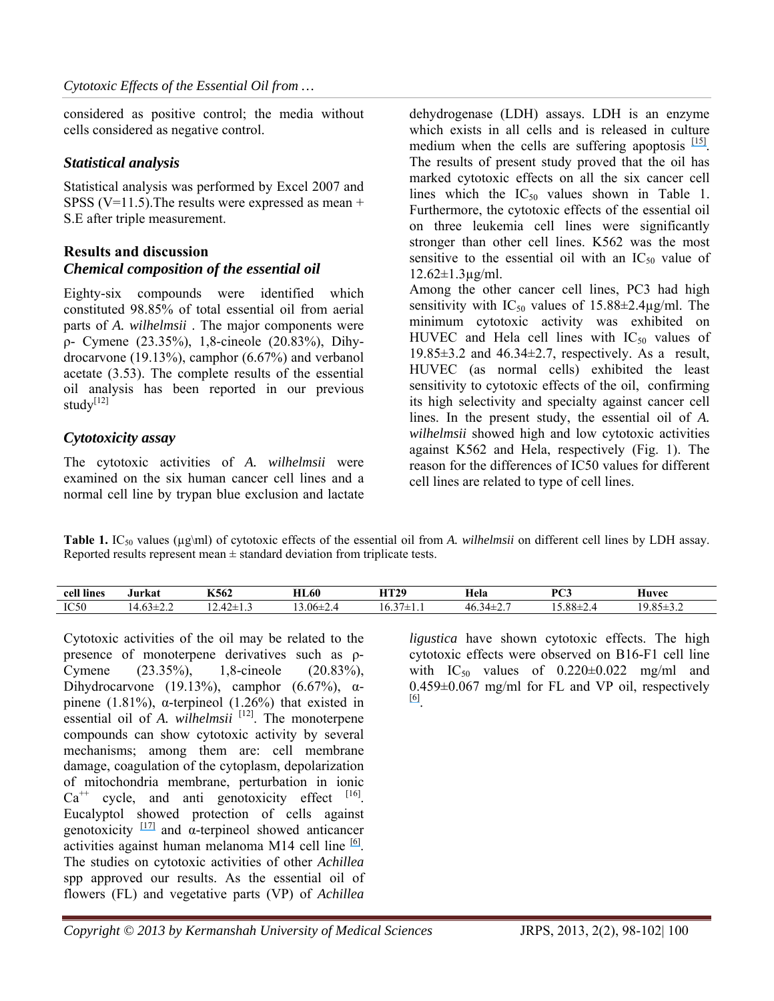considered as positive control; the media without cells considered as negative control.

#### *Statistical analysis*

Statistical analysis was performed by Excel 2007 and SPSS (V=11.5). The results were expressed as mean  $+$ S.E after triple measurement.

#### **Results and discussion** *Chemical composition of the essential oil*

Eighty-six compounds were identified which constituted 98.85% of total essential oil from aerial parts of *A. wilhelmsii* . The major components were ρ- Cymene (23.35%), 1,8-cineole (20.83%), Dihydrocarvone (19.13%), camphor (6.67%) and verbanol acetate (3.53). The complete results of the essential oil analysis has been reported in our previous stud $v^{[12]}$ 

#### *Cytotoxicity assay*

The cytotoxic activities of *A. wilhelmsii* were examined on the six human cancer cell lines and a normal cell line by trypan blue exclusion and lactate dehydrogenase (LDH) assays. LDH is an enzyme which exists in all cells and is released in culture medium when the cells are suffering apoptosis  $[15]$ . The results of present study proved that the oil has marked cytotoxic effects on all the six cancer cell lines which the  $IC_{50}$  values shown in Table 1. Furthermore, the cytotoxic effects of the essential oil on three leukemia cell lines were significantly stronger than other cell lines. K562 was the most sensitive to the essential oil with an  $IC_{50}$  value of  $12.62 \pm 1.3 \,\mu g/ml$ .

Among the other cancer cell lines, PC3 had high sensitivity with  $IC_{50}$  values of 15.88 $\pm$ 2.4 $\mu$ g/ml. The minimum cytotoxic activity was exhibited on HUVEC and Hela cell lines with  $IC_{50}$  values of 19.85 $\pm$ 3.2 and 46.34 $\pm$ 2.7, respectively. As a result, HUVEC (as normal cells) exhibited the least sensitivity to cytotoxic effects of the oil, confirming its high selectivity and specialty against cancer cell lines. In the present study, the essential oil of *A. wilhelmsii* showed high and low cytotoxic activities against K562 and Hela, respectively (Fig. 1). The reason for the differences of IC50 values for different cell lines are related to type of cell lines.

**Table 1.** IC<sub>50</sub> values ( $\mu$ g\ml) of cytotoxic effects of the essential oil from *A. wilhelmsii* on different cell lines by LDH assay. Reported results represent mean  $\pm$  standard deviation from triplicate tests.

| cell <sup>r</sup><br>lines | Jurkat            | K562                | <b>HL60</b>     | итэо<br>-1147     | Hela                                   | $D^{O2}$<br>ື | Huvec                   |
|----------------------------|-------------------|---------------------|-----------------|-------------------|----------------------------------------|---------------|-------------------------|
| IC <sub>50</sub>           | $\sim$ $\sim$<br> | --<br>ر. ⊥ — …<br>. | $13.06 \pm 2.4$ | $\sim$ $-$<br>0.3 | $\sim$<br>,,,<br>$\tau v \sim$<br>┱┷∠. | 5.88<br>.00-  | 0.05<br>u<br>^<br>⊶.ن⊥ل |

Cytotoxic activities of the oil may be related to the presence of monoterpene derivatives such as ρ-Cymene (23.35%), 1,8-cineole (20.83%), Dihydrocarvone (19.13%), camphor  $(6.67\%)$ ,  $\alpha$ pinene (1.81%), α-terpineol (1.26%) that existed in essential oil of *A. wilhelmsii* <sup>[12]</sup>. The monoterpene compounds can show cytotoxic activity by several mechanisms; among them are: cell membrane damage, coagulation of the cytoplasm, depolarization of mitochondria membrane, perturbation in ionic  $Ca^{++}$  cycle, and anti genotoxicity effect  $[16]$ . Eucalyptol showed protection of cells against genotoxicity  $\frac{17}{7}$  and  $\alpha$ -terpineol showed anticancer activities against human melanoma M14 cell line  $[6]$ . The studies on cytotoxic activities of other *Achillea* spp approved our results. As the essential oil of flowers (FL) and vegetative parts (VP) of *Achillea*

*ligustica* have shown cytotoxic effects. The high cytotoxic effects were observed on B16-F1 cell line with  $IC_{50}$  values of  $0.220 \pm 0.022$  mg/ml and 0.459±0.067 mg/ml for FL and VP oil, respectively [\[6\]](https://www.researchgate.net/publication/24310672_Composition_and_biological_activity_of_essential_oil_of_Achillea_ligustica_All_Asteraceae_naturalized_in_central_Italy_Ideal_candidate_for_anti-cariogenic_formulations?el=1_x_8&enrichId=rgreq-156ff79d-3f8b-4283-bbe1-e6a57c2282cc&enrichSource=Y292ZXJQYWdlOzI5MjEzMTE4NDtBUzozMjI1OTQxNjU3MjMxMzZAMTQ1MzkyMzg1MDE3Nw==).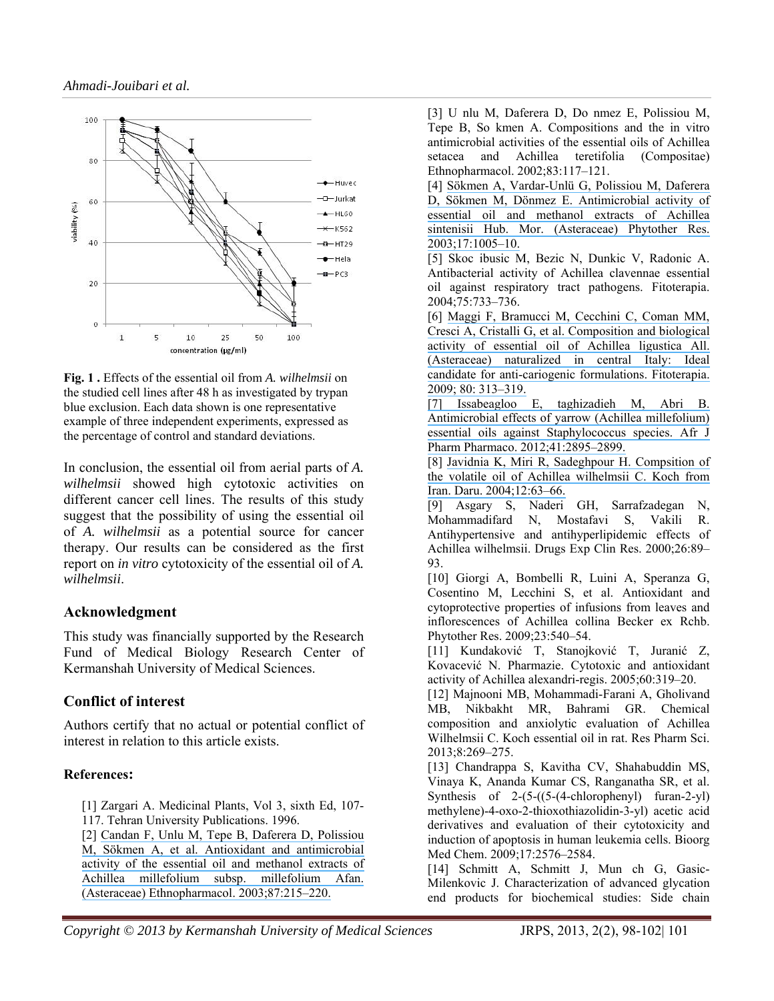

**Fig. 1 .** Effects of the essential oil from *A. wilhelmsii* on the studied cell lines after 48 h as investigated by trypan blue exclusion. Each data shown is one representative example of three independent experiments, expressed as the percentage of control and standard deviations.

In conclusion, the essential oil from aerial parts of *A. wilhelmsii* showed high cytotoxic activities on different cancer cell lines. The results of this study suggest that the possibility of using the essential oil of *A. wilhelmsii* as a potential source for cancer therapy. Our results can be considered as the first report on *in vitro* cytotoxicity of the essential oil of *A. wilhelmsii*.

#### **Acknowledgment**

This study was financially supported by the Research Fund of Medical Biology Research Center of Kermanshah University of Medical Sciences.

# **Conflict of interest**

Authors certify that no actual or potential conflict of interest in relation to this article exists.

#### **References:**

[1] Zargari A. Medicinal Plants, Vol 3, sixth Ed, 107- 117. Tehran University Publications. 1996.

[2] [Candan F, Unlu M, Tepe B, Daferera D, Polissiou](https://www.researchgate.net/publication/6589754_Antioxidant_and_antimicrobial_activity_of_the_essential_oil_and_methanol_extracts_of_Achillea_millefolium_subsp_millefolium_Afan_Asteraceae_J_Ethnopharmacol_872-3215-220?el=1_x_8&enrichId=rgreq-156ff79d-3f8b-4283-bbe1-e6a57c2282cc&enrichSource=Y292ZXJQYWdlOzI5MjEzMTE4NDtBUzozMjI1OTQxNjU3MjMxMzZAMTQ1MzkyMzg1MDE3Nw==) [M, Sökmen A, et al. Antioxidant and antimicrobial](https://www.researchgate.net/publication/6589754_Antioxidant_and_antimicrobial_activity_of_the_essential_oil_and_methanol_extracts_of_Achillea_millefolium_subsp_millefolium_Afan_Asteraceae_J_Ethnopharmacol_872-3215-220?el=1_x_8&enrichId=rgreq-156ff79d-3f8b-4283-bbe1-e6a57c2282cc&enrichSource=Y292ZXJQYWdlOzI5MjEzMTE4NDtBUzozMjI1OTQxNjU3MjMxMzZAMTQ1MzkyMzg1MDE3Nw==) [activity of the essential oil and methanol extracts of](https://www.researchgate.net/publication/6589754_Antioxidant_and_antimicrobial_activity_of_the_essential_oil_and_methanol_extracts_of_Achillea_millefolium_subsp_millefolium_Afan_Asteraceae_J_Ethnopharmacol_872-3215-220?el=1_x_8&enrichId=rgreq-156ff79d-3f8b-4283-bbe1-e6a57c2282cc&enrichSource=Y292ZXJQYWdlOzI5MjEzMTE4NDtBUzozMjI1OTQxNjU3MjMxMzZAMTQ1MzkyMzg1MDE3Nw==) [Achillea millefolium subsp. millefolium Afan.](https://www.researchgate.net/publication/6589754_Antioxidant_and_antimicrobial_activity_of_the_essential_oil_and_methanol_extracts_of_Achillea_millefolium_subsp_millefolium_Afan_Asteraceae_J_Ethnopharmacol_872-3215-220?el=1_x_8&enrichId=rgreq-156ff79d-3f8b-4283-bbe1-e6a57c2282cc&enrichSource=Y292ZXJQYWdlOzI5MjEzMTE4NDtBUzozMjI1OTQxNjU3MjMxMzZAMTQ1MzkyMzg1MDE3Nw==)  [\(Asteraceae\) Ethnopharmacol. 2003;87:215–220.](https://www.researchgate.net/publication/6589754_Antioxidant_and_antimicrobial_activity_of_the_essential_oil_and_methanol_extracts_of_Achillea_millefolium_subsp_millefolium_Afan_Asteraceae_J_Ethnopharmacol_872-3215-220?el=1_x_8&enrichId=rgreq-156ff79d-3f8b-4283-bbe1-e6a57c2282cc&enrichSource=Y292ZXJQYWdlOzI5MjEzMTE4NDtBUzozMjI1OTQxNjU3MjMxMzZAMTQ1MzkyMzg1MDE3Nw==) 

[3] U nlu M, Daferera D, Do nmez E, Polissiou M, Tepe B, So kmen A. Compositions and the in vitro antimicrobial activities of the essential oils of Achillea setacea and Achillea teretifolia (Compositae) Ethnopharmacol. 2002;83:117–121.

[4] [Sökmen A, Vardar-Unlü G, Polissiou M, Daferera](https://www.researchgate.net/publication/9027605_Antimicrobial_Activity_of_Essential_Oil_and_Methanol_Extracts_of_Achillea_sintenisii_Hub_Mor_Asteraceae?el=1_x_8&enrichId=rgreq-156ff79d-3f8b-4283-bbe1-e6a57c2282cc&enrichSource=Y292ZXJQYWdlOzI5MjEzMTE4NDtBUzozMjI1OTQxNjU3MjMxMzZAMTQ1MzkyMzg1MDE3Nw==)  [D, Sökmen M, Dönmez E. Antimicrobial activity of](https://www.researchgate.net/publication/9027605_Antimicrobial_Activity_of_Essential_Oil_and_Methanol_Extracts_of_Achillea_sintenisii_Hub_Mor_Asteraceae?el=1_x_8&enrichId=rgreq-156ff79d-3f8b-4283-bbe1-e6a57c2282cc&enrichSource=Y292ZXJQYWdlOzI5MjEzMTE4NDtBUzozMjI1OTQxNjU3MjMxMzZAMTQ1MzkyMzg1MDE3Nw==)  [essential oil and methanol extracts of Achillea](https://www.researchgate.net/publication/9027605_Antimicrobial_Activity_of_Essential_Oil_and_Methanol_Extracts_of_Achillea_sintenisii_Hub_Mor_Asteraceae?el=1_x_8&enrichId=rgreq-156ff79d-3f8b-4283-bbe1-e6a57c2282cc&enrichSource=Y292ZXJQYWdlOzI5MjEzMTE4NDtBUzozMjI1OTQxNjU3MjMxMzZAMTQ1MzkyMzg1MDE3Nw==)  [sintenisii Hub. Mor. \(Asteraceae\) Phytother Res.](https://www.researchgate.net/publication/9027605_Antimicrobial_Activity_of_Essential_Oil_and_Methanol_Extracts_of_Achillea_sintenisii_Hub_Mor_Asteraceae?el=1_x_8&enrichId=rgreq-156ff79d-3f8b-4283-bbe1-e6a57c2282cc&enrichSource=Y292ZXJQYWdlOzI5MjEzMTE4NDtBUzozMjI1OTQxNjU3MjMxMzZAMTQ1MzkyMzg1MDE3Nw==)  [2003;17:1005–10.](https://www.researchgate.net/publication/9027605_Antimicrobial_Activity_of_Essential_Oil_and_Methanol_Extracts_of_Achillea_sintenisii_Hub_Mor_Asteraceae?el=1_x_8&enrichId=rgreq-156ff79d-3f8b-4283-bbe1-e6a57c2282cc&enrichSource=Y292ZXJQYWdlOzI5MjEzMTE4NDtBUzozMjI1OTQxNjU3MjMxMzZAMTQ1MzkyMzg1MDE3Nw==)

[5] Skoc ibusic M, Bezic N, Dunkic V, Radonic A. Antibacterial activity of Achillea clavennae essential oil against respiratory tract pathogens. Fitoterapia. 2004;75:733–736.

[6] [Maggi F, Bramucci M, Cecchini C, Coman MM,](https://www.researchgate.net/publication/24310672_Composition_and_biological_activity_of_essential_oil_of_Achillea_ligustica_All_Asteraceae_naturalized_in_central_Italy_Ideal_candidate_for_anti-cariogenic_formulations?el=1_x_8&enrichId=rgreq-156ff79d-3f8b-4283-bbe1-e6a57c2282cc&enrichSource=Y292ZXJQYWdlOzI5MjEzMTE4NDtBUzozMjI1OTQxNjU3MjMxMzZAMTQ1MzkyMzg1MDE3Nw==)  [Cresci A, Cristalli G, et al. Composition and biological](https://www.researchgate.net/publication/24310672_Composition_and_biological_activity_of_essential_oil_of_Achillea_ligustica_All_Asteraceae_naturalized_in_central_Italy_Ideal_candidate_for_anti-cariogenic_formulations?el=1_x_8&enrichId=rgreq-156ff79d-3f8b-4283-bbe1-e6a57c2282cc&enrichSource=Y292ZXJQYWdlOzI5MjEzMTE4NDtBUzozMjI1OTQxNjU3MjMxMzZAMTQ1MzkyMzg1MDE3Nw==)  [activity of essential oil of Achillea ligustica All.](https://www.researchgate.net/publication/24310672_Composition_and_biological_activity_of_essential_oil_of_Achillea_ligustica_All_Asteraceae_naturalized_in_central_Italy_Ideal_candidate_for_anti-cariogenic_formulations?el=1_x_8&enrichId=rgreq-156ff79d-3f8b-4283-bbe1-e6a57c2282cc&enrichSource=Y292ZXJQYWdlOzI5MjEzMTE4NDtBUzozMjI1OTQxNjU3MjMxMzZAMTQ1MzkyMzg1MDE3Nw==)  [\(Asteraceae\) naturalized in central Italy: Ideal](https://www.researchgate.net/publication/24310672_Composition_and_biological_activity_of_essential_oil_of_Achillea_ligustica_All_Asteraceae_naturalized_in_central_Italy_Ideal_candidate_for_anti-cariogenic_formulations?el=1_x_8&enrichId=rgreq-156ff79d-3f8b-4283-bbe1-e6a57c2282cc&enrichSource=Y292ZXJQYWdlOzI5MjEzMTE4NDtBUzozMjI1OTQxNjU3MjMxMzZAMTQ1MzkyMzg1MDE3Nw==)  [candidate for anti-cariogenic formulations. Fitoterapia.](https://www.researchgate.net/publication/24310672_Composition_and_biological_activity_of_essential_oil_of_Achillea_ligustica_All_Asteraceae_naturalized_in_central_Italy_Ideal_candidate_for_anti-cariogenic_formulations?el=1_x_8&enrichId=rgreq-156ff79d-3f8b-4283-bbe1-e6a57c2282cc&enrichSource=Y292ZXJQYWdlOzI5MjEzMTE4NDtBUzozMjI1OTQxNjU3MjMxMzZAMTQ1MzkyMzg1MDE3Nw==)  [2009; 80: 313–319.](https://www.researchgate.net/publication/24310672_Composition_and_biological_activity_of_essential_oil_of_Achillea_ligustica_All_Asteraceae_naturalized_in_central_Italy_Ideal_candidate_for_anti-cariogenic_formulations?el=1_x_8&enrichId=rgreq-156ff79d-3f8b-4283-bbe1-e6a57c2282cc&enrichSource=Y292ZXJQYWdlOzI5MjEzMTE4NDtBUzozMjI1OTQxNjU3MjMxMzZAMTQ1MzkyMzg1MDE3Nw==)

[\[7\] Issabeagloo E, taghizadieh M, Abri B.](https://www.researchgate.net/publication/24310672_Composition_and_biological_activity_of_essential_oil_of_Achillea_ligustica_All_Asteraceae_naturalized_in_central_Italy_Ideal_candidate_for_anti-cariogenic_formulations?el=1_x_8&enrichId=rgreq-156ff79d-3f8b-4283-bbe1-e6a57c2282cc&enrichSource=Y292ZXJQYWdlOzI5MjEzMTE4NDtBUzozMjI1OTQxNjU3MjMxMzZAMTQ1MzkyMzg1MDE3Nw==)  [Antimicrobial effects of yarrow \(Achillea millefolium\)](https://www.researchgate.net/publication/24310672_Composition_and_biological_activity_of_essential_oil_of_Achillea_ligustica_All_Asteraceae_naturalized_in_central_Italy_Ideal_candidate_for_anti-cariogenic_formulations?el=1_x_8&enrichId=rgreq-156ff79d-3f8b-4283-bbe1-e6a57c2282cc&enrichSource=Y292ZXJQYWdlOzI5MjEzMTE4NDtBUzozMjI1OTQxNjU3MjMxMzZAMTQ1MzkyMzg1MDE3Nw==)  [essential oils against Staphylococcus species. Afr J](https://www.researchgate.net/publication/24310672_Composition_and_biological_activity_of_essential_oil_of_Achillea_ligustica_All_Asteraceae_naturalized_in_central_Italy_Ideal_candidate_for_anti-cariogenic_formulations?el=1_x_8&enrichId=rgreq-156ff79d-3f8b-4283-bbe1-e6a57c2282cc&enrichSource=Y292ZXJQYWdlOzI5MjEzMTE4NDtBUzozMjI1OTQxNjU3MjMxMzZAMTQ1MzkyMzg1MDE3Nw==)  [Pharm Pharmaco. 2012;41:2895–2899.](https://www.researchgate.net/publication/24310672_Composition_and_biological_activity_of_essential_oil_of_Achillea_ligustica_All_Asteraceae_naturalized_in_central_Italy_Ideal_candidate_for_anti-cariogenic_formulations?el=1_x_8&enrichId=rgreq-156ff79d-3f8b-4283-bbe1-e6a57c2282cc&enrichSource=Y292ZXJQYWdlOzI5MjEzMTE4NDtBUzozMjI1OTQxNjU3MjMxMzZAMTQ1MzkyMzg1MDE3Nw==)

[8] [Javidnia K, Miri R, Sadeghpour H. Compsition of](https://www.researchgate.net/publication/267818052_Composition_of_the_Volatile_Oil_of_Achillea_Wilhelmsii_C_Koch_from_Iran?el=1_x_8&enrichId=rgreq-156ff79d-3f8b-4283-bbe1-e6a57c2282cc&enrichSource=Y292ZXJQYWdlOzI5MjEzMTE4NDtBUzozMjI1OTQxNjU3MjMxMzZAMTQ1MzkyMzg1MDE3Nw==)  [the volatile oil of Achillea wilhelmsii C. Koch from](https://www.researchgate.net/publication/267818052_Composition_of_the_Volatile_Oil_of_Achillea_Wilhelmsii_C_Koch_from_Iran?el=1_x_8&enrichId=rgreq-156ff79d-3f8b-4283-bbe1-e6a57c2282cc&enrichSource=Y292ZXJQYWdlOzI5MjEzMTE4NDtBUzozMjI1OTQxNjU3MjMxMzZAMTQ1MzkyMzg1MDE3Nw==)  [Iran. Daru. 2004;12:63–66.](https://www.researchgate.net/publication/267818052_Composition_of_the_Volatile_Oil_of_Achillea_Wilhelmsii_C_Koch_from_Iran?el=1_x_8&enrichId=rgreq-156ff79d-3f8b-4283-bbe1-e6a57c2282cc&enrichSource=Y292ZXJQYWdlOzI5MjEzMTE4NDtBUzozMjI1OTQxNjU3MjMxMzZAMTQ1MzkyMzg1MDE3Nw==) 

[9] Asgary S, Naderi GH, Sarrafzadegan N, Mohammadifard N, Mostafavi S, Vakili R. Antihypertensive and antihyperlipidemic effects of Achillea wilhelmsii. Drugs Exp Clin Res. 2000;26:89– 93.

[10] Giorgi A, Bombelli R, Luini A, Speranza G, Cosentino M, Lecchini S, et al. Antioxidant and cytoprotective properties of infusions from leaves and inflorescences of Achillea collina Becker ex Rchb. Phytother Res. 2009;23:540–54.

[11] Kundaković T, Stanojković T, Juranić Z, Kovacević N. Pharmazie. Cytotoxic and antioxidant activity of Achillea alexandri-regis. 2005;60:319–20.

[12] Majnooni MB, Mohammadi-Farani A, Gholivand MB, Nikbakht MR, Bahrami GR. Chemical composition and anxiolytic evaluation of Achillea Wilhelmsii C. Koch essential oil in rat. Res Pharm Sci. 2013;8:269–275.

[13] Chandrappa S, Kavitha CV, Shahabuddin MS, Vinaya K, Ananda Kumar CS, Ranganatha SR, et al. Synthesis of 2-(5-((5-(4-chlorophenyl) furan-2-yl) methylene)-4-oxo-2-thioxothiazolidin-3-yl) acetic acid derivatives and evaluation of their cytotoxicity and induction of apoptosis in human leukemia cells. Bioorg Med Chem. 2009;17:2576–2584.

[14] Schmitt A, Schmitt J, Mun ch G, Gasic-Milenkovic J. Characterization of advanced glycation end products for biochemical studies: Side chain

*Copyright © 2013 by Kermanshah University of Medical Sciences* JRPS, 2013, 2(2), 98-102| 101